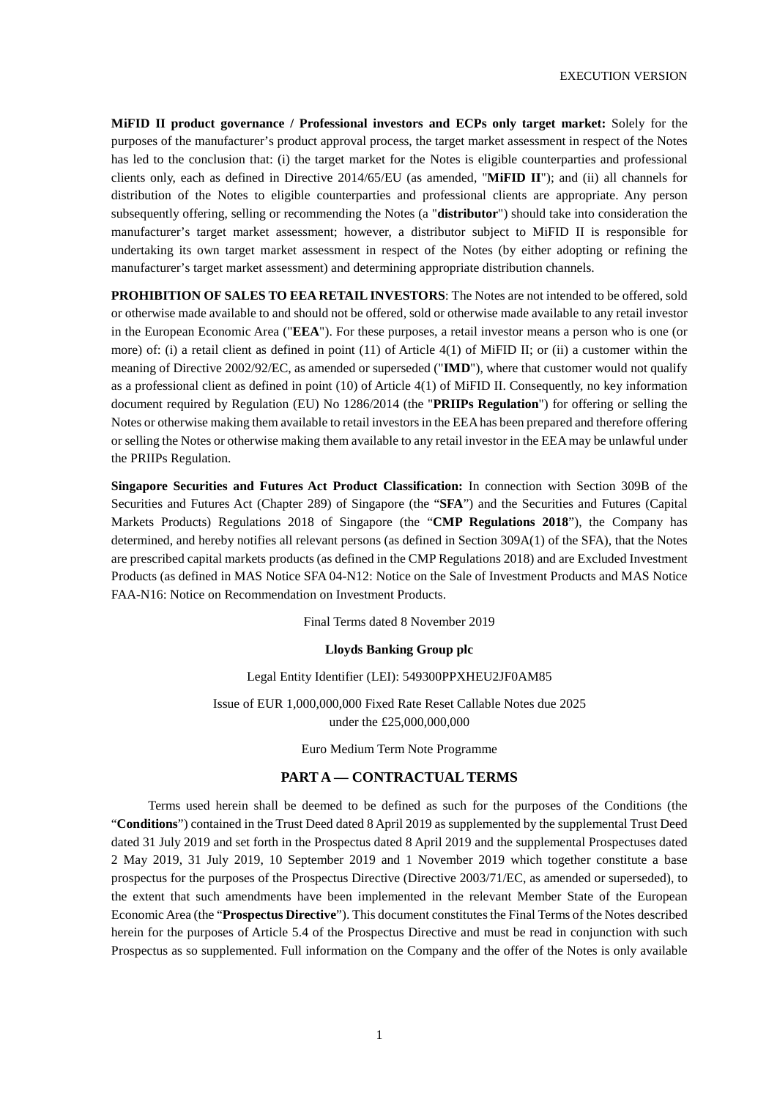**MiFID II product governance / Professional investors and ECPs only target market:** Solely for the purposes of the manufacturer's product approval process, the target market assessment in respect of the Notes has led to the conclusion that: (i) the target market for the Notes is eligible counterparties and professional clients only, each as defined in Directive 2014/65/EU (as amended, "**MiFID II**"); and (ii) all channels for distribution of the Notes to eligible counterparties and professional clients are appropriate. Any person subsequently offering, selling or recommending the Notes (a "**distributor**") should take into consideration the manufacturer's target market assessment; however, a distributor subject to MiFID II is responsible for undertaking its own target market assessment in respect of the Notes (by either adopting or refining the manufacturer's target market assessment) and determining appropriate distribution channels.

**PROHIBITION OF SALES TO EEA RETAIL INVESTORS**: The Notes are not intended to be offered, sold or otherwise made available to and should not be offered, sold or otherwise made available to any retail investor in the European Economic Area ("**EEA**"). For these purposes, a retail investor means a person who is one (or more) of: (i) a retail client as defined in point (11) of Article 4(1) of MiFID II; or (ii) a customer within the meaning of Directive 2002/92/EC, as amended or superseded ("**IMD**"), where that customer would not qualify as a professional client as defined in point (10) of Article 4(1) of MiFID II. Consequently, no key information document required by Regulation (EU) No 1286/2014 (the "**PRIIPs Regulation**") for offering or selling the Notes or otherwise making them available to retail investors in the EEA has been prepared and therefore offering or selling the Notes or otherwise making them available to any retail investor in the EEA may be unlawful under the PRIIPs Regulation.

**Singapore Securities and Futures Act Product Classification:** In connection with Section 309B of the Securities and Futures Act (Chapter 289) of Singapore (the "**SFA**") and the Securities and Futures (Capital Markets Products) Regulations 2018 of Singapore (the "**CMP Regulations 2018**"), the Company has determined, and hereby notifies all relevant persons (as defined in Section 309A(1) of the SFA), that the Notes are prescribed capital markets products (as defined in the CMP Regulations 2018) and are Excluded Investment Products (as defined in MAS Notice SFA 04-N12: Notice on the Sale of Investment Products and MAS Notice FAA-N16: Notice on Recommendation on Investment Products.

Final Terms dated 8 November 2019

#### **Lloyds Banking Group plc**

### Legal Entity Identifier (LEI): 549300PPXHEU2JF0AM85

Issue of EUR 1,000,000,000 Fixed Rate Reset Callable Notes due 2025 under the £25,000,000,000

Euro Medium Term Note Programme

### **PART A — CONTRACTUAL TERMS**

Terms used herein shall be deemed to be defined as such for the purposes of the Conditions (the "**Conditions**") contained in the Trust Deed dated 8 April 2019 as supplemented by the supplemental Trust Deed dated 31 July 2019 and set forth in the Prospectus dated 8 April 2019 and the supplemental Prospectuses dated 2 May 2019, 31 July 2019, 10 September 2019 and 1 November 2019 which together constitute a base prospectus for the purposes of the Prospectus Directive (Directive 2003/71/EC, as amended or superseded), to the extent that such amendments have been implemented in the relevant Member State of the European Economic Area (the "**Prospectus Directive**"). This document constitutes the Final Terms of the Notes described herein for the purposes of Article 5.4 of the Prospectus Directive and must be read in conjunction with such Prospectus as so supplemented. Full information on the Company and the offer of the Notes is only available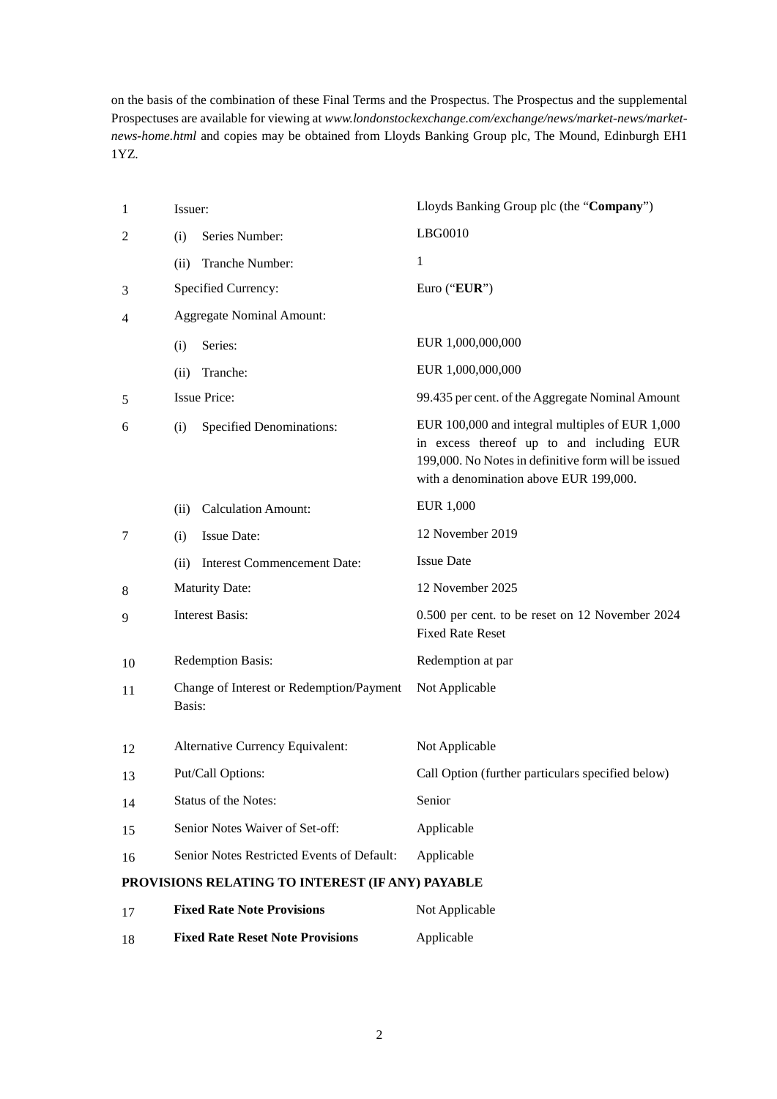on the basis of the combination of these Final Terms and the Prospectus. The Prospectus and the supplemental Prospectuses are available for viewing at *www.londonstockexchange.com/exchange/news/market-news/marketnews-home.html* and copies may be obtained from Lloyds Banking Group plc, The Mound, Edinburgh EH1 1YZ.

| $\mathbf{1}$   | Issuer: |                                                  | Lloyds Banking Group plc (the "Company")                                                                                                                                                      |
|----------------|---------|--------------------------------------------------|-----------------------------------------------------------------------------------------------------------------------------------------------------------------------------------------------|
| $\overline{c}$ | (i)     | Series Number:                                   | LBG0010                                                                                                                                                                                       |
|                | (ii)    | Tranche Number:                                  | 1                                                                                                                                                                                             |
| 3              |         | Specified Currency:                              | Euro ("EUR")                                                                                                                                                                                  |
| 4              |         | <b>Aggregate Nominal Amount:</b>                 |                                                                                                                                                                                               |
|                | (i)     | Series:                                          | EUR 1,000,000,000                                                                                                                                                                             |
|                | (ii)    | Tranche:                                         | EUR 1,000,000,000                                                                                                                                                                             |
| 5              |         | <b>Issue Price:</b>                              | 99.435 per cent. of the Aggregate Nominal Amount                                                                                                                                              |
| 6              | (i)     | <b>Specified Denominations:</b>                  | EUR 100,000 and integral multiples of EUR 1,000<br>in excess thereof up to and including EUR<br>199,000. No Notes in definitive form will be issued<br>with a denomination above EUR 199,000. |
|                | (ii)    | <b>Calculation Amount:</b>                       | EUR 1,000                                                                                                                                                                                     |
| 7              | (i)     | <b>Issue Date:</b>                               | 12 November 2019                                                                                                                                                                              |
|                | (ii)    | <b>Interest Commencement Date:</b>               | <b>Issue Date</b>                                                                                                                                                                             |
| 8              |         | <b>Maturity Date:</b>                            | 12 November 2025                                                                                                                                                                              |
| 9              |         | <b>Interest Basis:</b>                           | 0.500 per cent. to be reset on 12 November 2024<br><b>Fixed Rate Reset</b>                                                                                                                    |
| 10             |         | Redemption Basis:                                | Redemption at par                                                                                                                                                                             |
| 11             | Basis:  | Change of Interest or Redemption/Payment         | Not Applicable                                                                                                                                                                                |
| 12             |         | Alternative Currency Equivalent:                 | Not Applicable                                                                                                                                                                                |
| 13             |         | Put/Call Options:                                | Call Option (further particulars specified below)                                                                                                                                             |
| 14             |         | Status of the Notes:                             | Senior                                                                                                                                                                                        |
| 15             |         | Senior Notes Waiver of Set-off:                  | Applicable                                                                                                                                                                                    |
| 16             |         | Senior Notes Restricted Events of Default:       | Applicable                                                                                                                                                                                    |
|                |         | PROVISIONS RELATING TO INTEREST (IF ANY) PAYABLE |                                                                                                                                                                                               |

| 17 | <b>Fixed Rate Note Provisions</b>       | Not Applicable |
|----|-----------------------------------------|----------------|
| 18 | <b>Fixed Rate Reset Note Provisions</b> | Applicable     |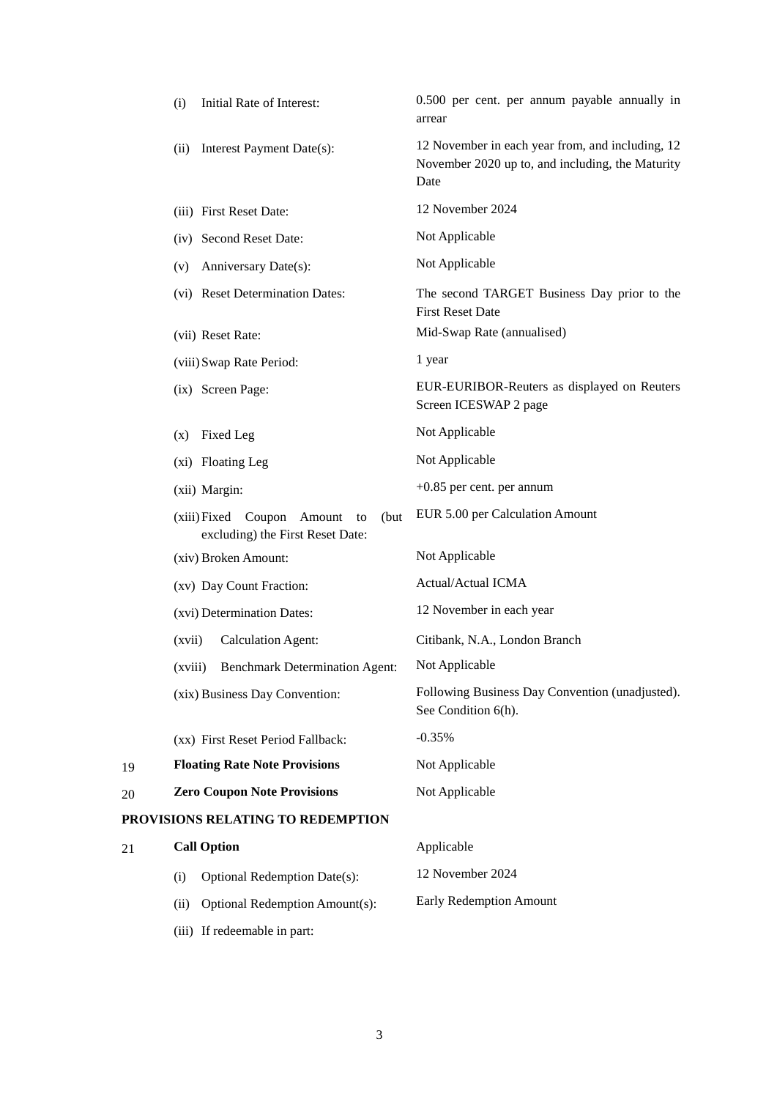|    | Initial Rate of Interest:<br>(i)                                              | 0.500 per cent. per annum payable annually in<br>arrear                                                      |
|----|-------------------------------------------------------------------------------|--------------------------------------------------------------------------------------------------------------|
|    | Interest Payment Date(s):<br>(ii)                                             | 12 November in each year from, and including, 12<br>November 2020 up to, and including, the Maturity<br>Date |
|    | (iii) First Reset Date:                                                       | 12 November 2024                                                                                             |
|    | (iv) Second Reset Date:                                                       | Not Applicable                                                                                               |
|    | Anniversary Date(s):<br>(v)                                                   | Not Applicable                                                                                               |
|    | (vi) Reset Determination Dates:                                               | The second TARGET Business Day prior to the<br><b>First Reset Date</b>                                       |
|    | (vii) Reset Rate:                                                             | Mid-Swap Rate (annualised)                                                                                   |
|    | (viii) Swap Rate Period:                                                      | 1 year                                                                                                       |
|    | (ix) Screen Page:                                                             | EUR-EURIBOR-Reuters as displayed on Reuters<br>Screen ICESWAP 2 page                                         |
|    | Fixed Leg<br>(x)                                                              | Not Applicable                                                                                               |
|    | (xi) Floating Leg                                                             | Not Applicable                                                                                               |
|    | (xii) Margin:                                                                 | $+0.85$ per cent. per annum                                                                                  |
|    | (xiii) Fixed Coupon Amount<br>(but)<br>to<br>excluding) the First Reset Date: | EUR 5.00 per Calculation Amount                                                                              |
|    | (xiv) Broken Amount:                                                          | Not Applicable                                                                                               |
|    | (xv) Day Count Fraction:                                                      | Actual/Actual ICMA                                                                                           |
|    | (xvi) Determination Dates:                                                    | 12 November in each year                                                                                     |
|    | <b>Calculation Agent:</b><br>(xvii)                                           | Citibank, N.A., London Branch                                                                                |
|    | <b>Benchmark Determination Agent:</b><br>(xviii)                              | Not Applicable                                                                                               |
|    | (xix) Business Day Convention:                                                | Following Business Day Convention (unadjusted).<br>See Condition 6(h).                                       |
|    | (xx) First Reset Period Fallback:                                             | $-0.35%$                                                                                                     |
| 19 | <b>Floating Rate Note Provisions</b>                                          | Not Applicable                                                                                               |
| 20 | <b>Zero Coupon Note Provisions</b>                                            | Not Applicable                                                                                               |
|    | PROVISIONS RELATING TO REDEMPTION                                             |                                                                                                              |
| 21 | <b>Call Option</b>                                                            | Applicable                                                                                                   |
|    | <b>Optional Redemption Date(s):</b><br>(i)                                    | 12 November 2024                                                                                             |
|    | Optional Redemption Amount(s):<br>(ii)                                        | <b>Early Redemption Amount</b>                                                                               |
|    | (iii) If redeemable in part:                                                  |                                                                                                              |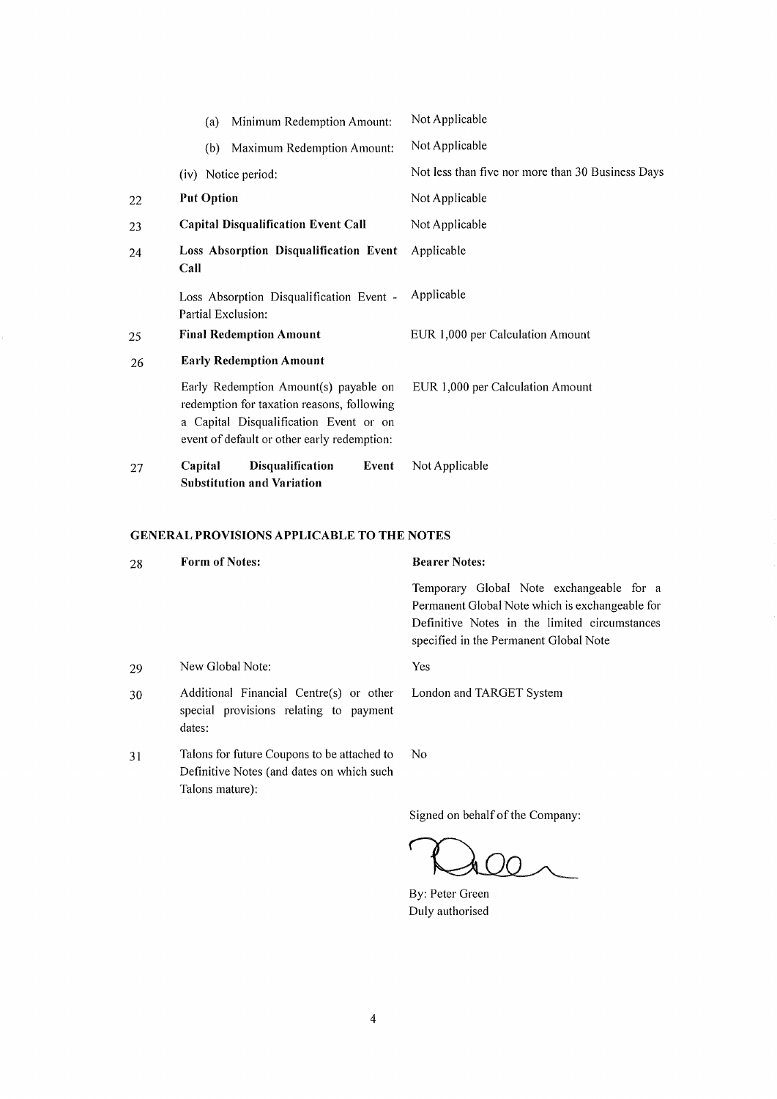|    | Minimum Redemption Amount:<br>(a)                                                                                                                                            | Not Applicable                                    |
|----|------------------------------------------------------------------------------------------------------------------------------------------------------------------------------|---------------------------------------------------|
|    | Maximum Redemption Amount:<br>(b)                                                                                                                                            | Not Applicable                                    |
|    | (iv) Notice period:                                                                                                                                                          | Not less than five nor more than 30 Business Days |
| 22 | <b>Put Option</b>                                                                                                                                                            | Not Applicable                                    |
| 23 | <b>Capital Disqualification Event Call</b>                                                                                                                                   | Not Applicable                                    |
| 24 | Loss Absorption Disqualification Event<br>Call                                                                                                                               | Applicable                                        |
|    | Loss Absorption Disqualification Event -<br>Partial Exclusion:                                                                                                               | Applicable                                        |
| 25 | <b>Final Redemption Amount</b>                                                                                                                                               | EUR 1,000 per Calculation Amount                  |
| 26 | <b>Early Redemption Amount</b>                                                                                                                                               |                                                   |
|    | Early Redemption Amount(s) payable on<br>redemption for taxation reasons, following<br>a Capital Disqualification Event or on<br>event of default or other early redemption: | EUR 1,000 per Calculation Amount                  |
| 27 | <b>Disqualification</b><br>Capital<br>Event<br>Substitution and Variation                                                                                                    | Not Applicable                                    |

## GENERAL PROVISIONS APPLICABLE TO THE NOTES

| 28 | <b>Form of Notes:</b>                                                                                       | <b>Bearer Notes:</b>                                                                                                                                                                   |
|----|-------------------------------------------------------------------------------------------------------------|----------------------------------------------------------------------------------------------------------------------------------------------------------------------------------------|
|    |                                                                                                             | Temporary Global Note exchangeable for a<br>Permanent Global Note which is exchangeable for<br>Definitive Notes in the limited circumstances<br>specified in the Permanent Global Note |
| 29 | New Global Note:                                                                                            | Yes                                                                                                                                                                                    |
| 30 | Additional Financial Centre(s) or other<br>special provisions relating to payment<br>dates:                 | London and TARGET System                                                                                                                                                               |
| 31 | Talons for future Coupons to be attached to<br>Definitive Notes (and dates on which such<br>Talons mature): | No.                                                                                                                                                                                    |
|    |                                                                                                             | Signed on behalf of the Company:                                                                                                                                                       |

1  $\bigcap$ **h** (

By: Peter Green Duly authorised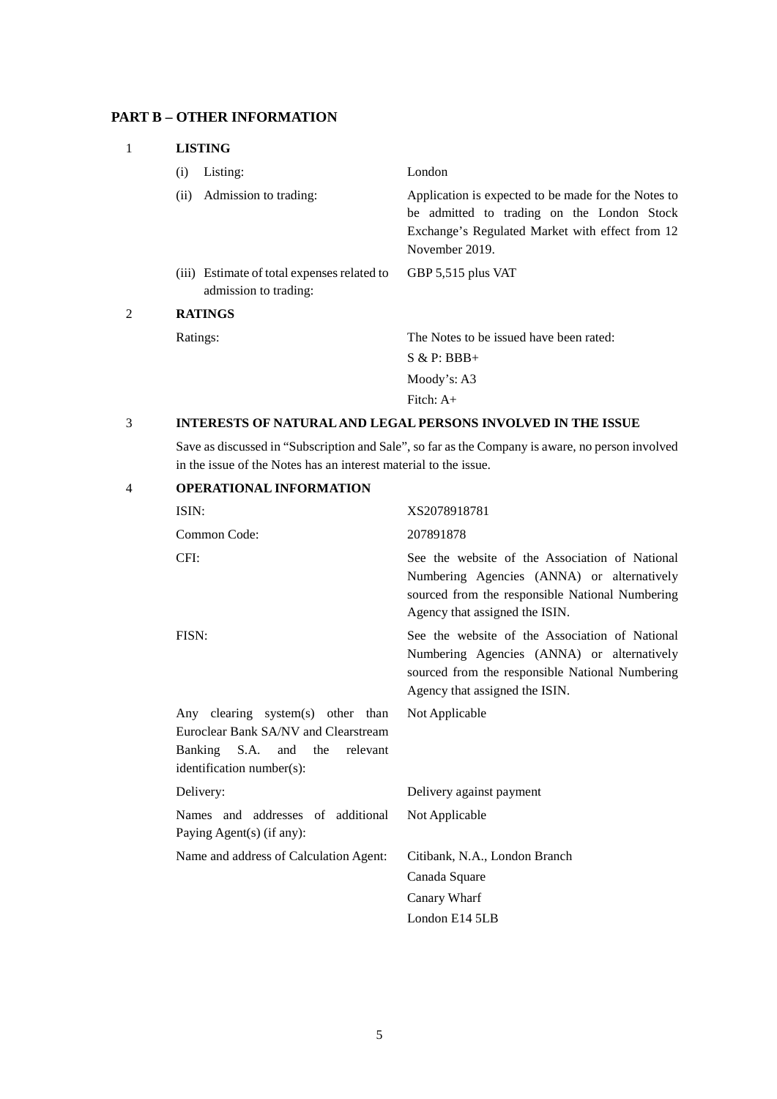# **PART B – OTHER INFORMATION**

| 1 | <b>LISTING</b>                                                       |                                                                                                                                                                        |  |
|---|----------------------------------------------------------------------|------------------------------------------------------------------------------------------------------------------------------------------------------------------------|--|
|   | Listing:<br>(i)                                                      | London                                                                                                                                                                 |  |
|   | Admission to trading:<br>(ii)                                        | Application is expected to be made for the Notes to<br>be admitted to trading on the London Stock<br>Exchange's Regulated Market with effect from 12<br>November 2019. |  |
|   | (iii) Estimate of total expenses related to<br>admission to trading: | GBP 5,515 plus VAT                                                                                                                                                     |  |
| 2 | <b>RATINGS</b>                                                       |                                                                                                                                                                        |  |
|   | Ratings:                                                             | The Notes to be issued have been rated:                                                                                                                                |  |
|   |                                                                      | $S & P: BBB+$                                                                                                                                                          |  |
|   |                                                                      | Moody's: $A3$                                                                                                                                                          |  |
|   |                                                                      | Fitch: $A+$                                                                                                                                                            |  |

### 3 **INTERESTS OF NATURAL AND LEGAL PERSONS INVOLVED IN THE ISSUE**

Save as discussed in "Subscription and Sale", so far as the Company is aware, no person involved in the issue of the Notes has an interest material to the issue.

| $\overline{4}$ | <b>OPERATIONAL INFORMATION</b>                                                                                                                   |                                                                                                                                                                                   |
|----------------|--------------------------------------------------------------------------------------------------------------------------------------------------|-----------------------------------------------------------------------------------------------------------------------------------------------------------------------------------|
|                | ISIN:                                                                                                                                            | XS2078918781                                                                                                                                                                      |
|                | Common Code:                                                                                                                                     | 207891878                                                                                                                                                                         |
|                | CFI:                                                                                                                                             | See the website of the Association of National<br>Numbering Agencies (ANNA) or alternatively<br>sourced from the responsible National Numbering<br>Agency that assigned the ISIN. |
|                | FISN:                                                                                                                                            | See the website of the Association of National<br>Numbering Agencies (ANNA) or alternatively<br>sourced from the responsible National Numbering<br>Agency that assigned the ISIN. |
|                | Any clearing system(s) other than<br>Euroclear Bank SA/NV and Clearstream<br>Banking S.A.<br>and<br>the<br>relevant<br>identification number(s): | Not Applicable                                                                                                                                                                    |
|                | Delivery:                                                                                                                                        | Delivery against payment                                                                                                                                                          |
|                | Names and addresses of additional<br>Paying Agent(s) (if any):                                                                                   | Not Applicable                                                                                                                                                                    |
|                | Name and address of Calculation Agent:                                                                                                           | Citibank, N.A., London Branch                                                                                                                                                     |
|                |                                                                                                                                                  | Canada Square                                                                                                                                                                     |
|                |                                                                                                                                                  | Canary Wharf                                                                                                                                                                      |
|                |                                                                                                                                                  | London E14 5LB                                                                                                                                                                    |